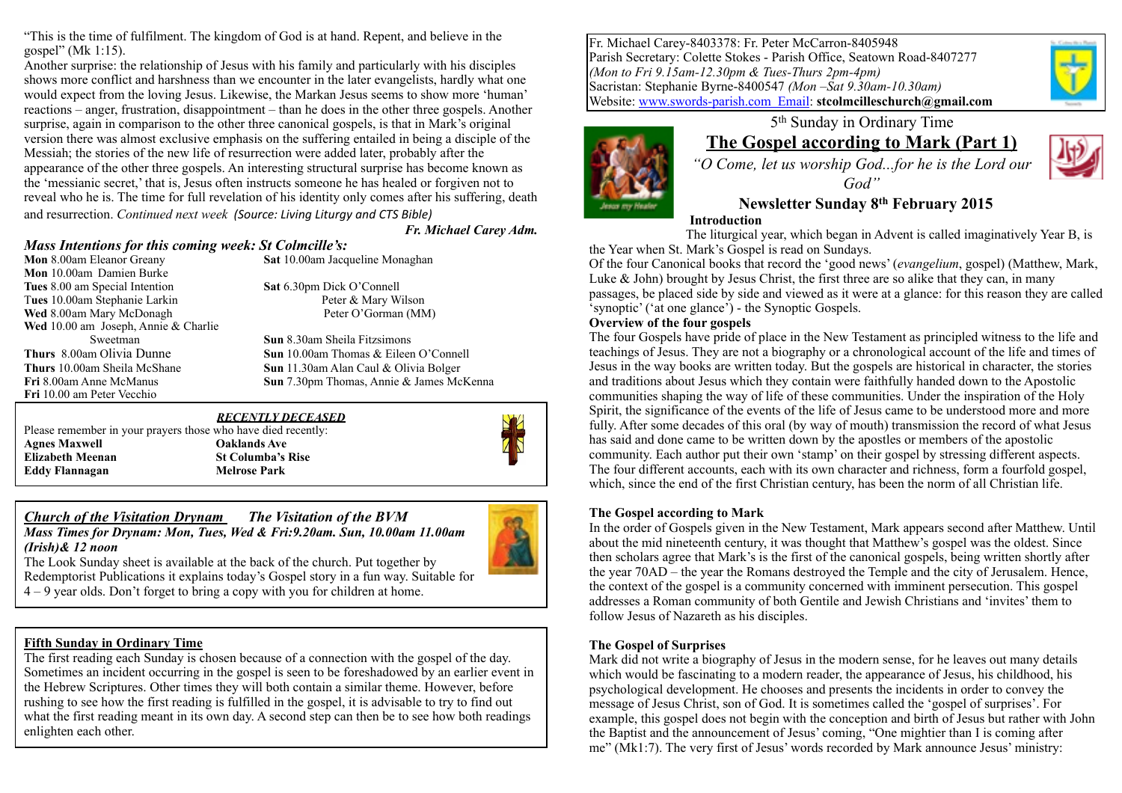"This is the time of fulfilment. The kingdom of God is at hand. Repent, and believe in the gospel" (Mk 1:15).

Another surprise: the relationship of Jesus with his family and particularly with his disciples shows more conflict and harshness than we encounter in the later evangelists, hardly what one would expect from the loving Jesus. Likewise, the Markan Jesus seems to show more 'human' reactions – anger, frustration, disappointment – than he does in the other three gospels. Another surprise, again in comparison to the other three canonical gospels, is that in Mark's original version there was almost exclusive emphasis on the suffering entailed in being a disciple of the Messiah; the stories of the new life of resurrection were added later, probably after the appearance of the other three gospels. An interesting structural surprise has become known as the 'messianic secret,' that is, Jesus often instructs someone he has healed or forgiven not to reveal who he is. The time for full revelation of his identity only comes after his suffering, death and resurrection. *Continued next week (Source: Living Liturgy and CTS Bible)* 

*Fr. Michael Carey Adm.*

# *Mass Intentions for this coming week: St Colmcille's:*

**Mon** 10.00am Damien Burke **Tues** 8.00 am Special Intention **Sat** 6.30pm Dick O'Connell T**ues** 10.00am Stephanie Larkin Peter & Mary Wilson **Wed** 8.00am Mary McDonagh **Peter O'Gorman (MM)** Wed 10.00 am Joseph, Annie & Charlie<br>Sweetman **Fri** 10.00 am Peter Vecchio

**Sat** 10.00am Jacqueline Monaghan

**Sun 8.30am Sheila Fitzsimons Thurs** 8.00am Olivia Dunne **Sun** 10.00am Thomas & Eileen O'Connell **Thurs** 10.00am Sheila McShane **Sun** 11.30am Alan Caul & Olivia Bolger **Fri** 8.00am Anne McManus **Sun** 7.30pm Thomas, Annie & James McKenna

#### *RECENTLY DECEASED*  Please remember in your prayers those who have died recently:

**Agnes Maxwell Oaklands Ave Elizabeth Meenan St Columba's Rise Eddy Flannagan Melrose Park**



### *Church of the Visitation Drynam**The Visitation of the BVM Mass Times for Drynam: Mon, Tues, Wed & Fri:9.20am. Sun, 10.00am 11.00am (Irish)& 12 noon*



The Look Sunday sheet is available at the back of the church. Put together by Redemptorist Publications it explains today's Gospel story in a fun way. Suitable for 4 – 9 year olds. Don't forget to bring a copy with you for children at home.

### **Fifth Sunday in Ordinary Time**

The first reading each Sunday is chosen because of a connection with the gospel of the day. Sometimes an incident occurring in the gospel is seen to be foreshadowed by an earlier event in the Hebrew Scriptures. Other times they will both contain a similar theme. However, before rushing to see how the first reading is fulfilled in the gospel, it is advisable to try to find out what the first reading meant in its own day. A second step can then be to see how both readings enlighten each other.

Fr. Michael Carey-8403378: Fr. Peter McCarron-8405948 Parish Secretary: Colette Stokes - Parish Office, Seatown Road-8407277 *(Mon to Fri 9.15am-12.30pm & Tues-Thurs 2pm-4pm)* Sacristan: Stephanie Byrne-8400547 *(Mon –Sat 9.30am-10.30am)*  Website: [www.swords-parish.com Email:](http://www.swords-parish.com%20%20email) **stcolmcilleschurch@gmail.com**



### 5th Sunday in Ordinary Time **The Gospel according to Mark (Part 1)**

*"O Come, let us worship God...for he is the Lord our* 

*God"* 

**Newsletter Sunday 8th February 2015** 

#### **Introduction**

The liturgical year, which began in Advent is called imaginatively Year B, is the Year when St. Mark's Gospel is read on Sundays.

Of the four Canonical books that record the 'good news' (*evangelium*, gospel) (Matthew, Mark, Luke  $\&$  John) brought by Jesus Christ, the first three are so alike that they can, in many passages, be placed side by side and viewed as it were at a glance: for this reason they are called 'synoptic' ('at one glance') - the Synoptic Gospels.

#### **Overview of the four gospels**

The four Gospels have pride of place in the New Testament as principled witness to the life and teachings of Jesus. They are not a biography or a chronological account of the life and times of Jesus in the way books are written today. But the gospels are historical in character, the stories and traditions about Jesus which they contain were faithfully handed down to the Apostolic communities shaping the way of life of these communities. Under the inspiration of the Holy Spirit, the significance of the events of the life of Jesus came to be understood more and more fully. After some decades of this oral (by way of mouth) transmission the record of what Jesus has said and done came to be written down by the apostles or members of the apostolic community. Each author put their own 'stamp' on their gospel by stressing different aspects. The four different accounts, each with its own character and richness, form a fourfold gospel, which, since the end of the first Christian century, has been the norm of all Christian life.

### **The Gospel according to Mark**

In the order of Gospels given in the New Testament, Mark appears second after Matthew. Until about the mid nineteenth century, it was thought that Matthew's gospel was the oldest. Since then scholars agree that Mark's is the first of the canonical gospels, being written shortly after the year 70AD – the year the Romans destroyed the Temple and the city of Jerusalem. Hence, the context of the gospel is a community concerned with imminent persecution. This gospel addresses a Roman community of both Gentile and Jewish Christians and 'invites' them to follow Jesus of Nazareth as his disciples.

### **The Gospel of Surprises**

Mark did not write a biography of Jesus in the modern sense, for he leaves out many details which would be fascinating to a modern reader, the appearance of Jesus, his childhood, his psychological development. He chooses and presents the incidents in order to convey the message of Jesus Christ, son of God. It is sometimes called the 'gospel of surprises'. For example, this gospel does not begin with the conception and birth of Jesus but rather with John the Baptist and the announcement of Jesus' coming, "One mightier than I is coming after me" (Mk1:7). The very first of Jesus' words recorded by Mark announce Jesus' ministry: